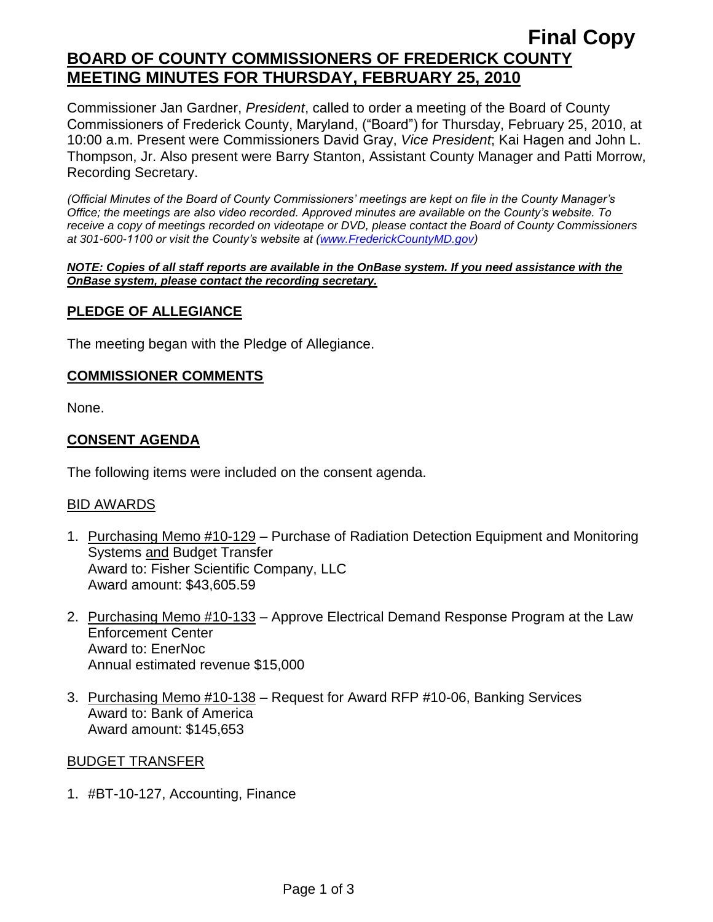## **Final Copy BOARD OF COUNTY COMMISSIONERS OF FREDERICK COUNTY MEETING MINUTES FOR THURSDAY, FEBRUARY 25, 2010**

Commissioner Jan Gardner, *President*, called to order a meeting of the Board of County Commissioners of Frederick County, Maryland, ("Board") for Thursday, February 25, 2010, at 10:00 a.m. Present were Commissioners David Gray, *Vice President*; Kai Hagen and John L. Thompson, Jr. Also present were Barry Stanton, Assistant County Manager and Patti Morrow, Recording Secretary.

*(Official Minutes of the Board of County Commissioners' meetings are kept on file in the County Manager's Office; the meetings are also video recorded. Approved minutes are available on the County's website. To receive a copy of meetings recorded on videotape or DVD, please contact the Board of County Commissioners at 301-600-1100 or visit the County's website at [\(www.FrederickCountyMD.gov\)](http://www.frederickcountymd.gov/)*

#### *NOTE: Copies of all staff reports are available in the OnBase system. If you need assistance with the OnBase system, please contact the recording secretary.*

## **PLEDGE OF ALLEGIANCE**

The meeting began with the Pledge of Allegiance.

#### **COMMISSIONER COMMENTS**

None.

## **CONSENT AGENDA**

The following items were included on the consent agenda.

### BID AWARDS

- 1. Purchasing Memo #10-129 Purchase of Radiation Detection Equipment and Monitoring Systems and Budget Transfer Award to: Fisher Scientific Company, LLC Award amount: \$43,605.59
- 2. Purchasing Memo #10-133 Approve Electrical Demand Response Program at the Law Enforcement Center Award to: EnerNoc Annual estimated revenue \$15,000
- 3. Purchasing Memo #10-138 Request for Award RFP #10-06, Banking Services Award to: Bank of America Award amount: \$145,653

#### BUDGET TRANSFER

1. #BT-10-127, Accounting, Finance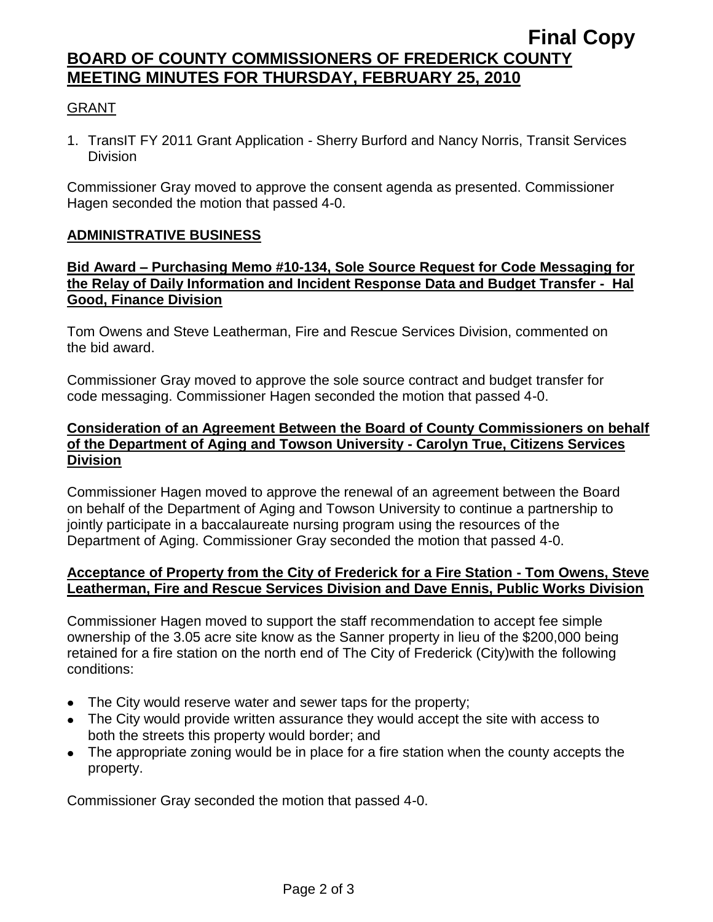## **Final Copy BOARD OF COUNTY COMMISSIONERS OF FREDERICK COUNTY MEETING MINUTES FOR THURSDAY, FEBRUARY 25, 2010**

## GRANT

1. TransIT FY 2011 Grant Application - Sherry Burford and Nancy Norris, Transit Services **Division** 

Commissioner Gray moved to approve the consent agenda as presented. Commissioner Hagen seconded the motion that passed 4-0.

### **ADMINISTRATIVE BUSINESS**

#### **Bid Award – Purchasing Memo #10-134, Sole Source Request for Code Messaging for the Relay of Daily Information and Incident Response Data and Budget Transfer - Hal Good, Finance Division**

Tom Owens and Steve Leatherman, Fire and Rescue Services Division, commented on the bid award.

Commissioner Gray moved to approve the sole source contract and budget transfer for code messaging. Commissioner Hagen seconded the motion that passed 4-0.

### **Consideration of an Agreement Between the Board of County Commissioners on behalf of the Department of Aging and Towson University - Carolyn True, Citizens Services Division**

Commissioner Hagen moved to approve the renewal of an agreement between the Board on behalf of the Department of Aging and Towson University to continue a partnership to jointly participate in a baccalaureate nursing program using the resources of the Department of Aging. Commissioner Gray seconded the motion that passed 4-0.

### **Acceptance of Property from the City of Frederick for a Fire Station - Tom Owens, Steve Leatherman, Fire and Rescue Services Division and Dave Ennis, Public Works Division**

Commissioner Hagen moved to support the staff recommendation to accept fee simple ownership of the 3.05 acre site know as the Sanner property in lieu of the \$200,000 being retained for a fire station on the north end of The City of Frederick (City)with the following conditions:

- The City would reserve water and sewer taps for the property;
- The City would provide written assurance they would accept the site with access to both the streets this property would border; and
- The appropriate zoning would be in place for a fire station when the county accepts the property.

Commissioner Gray seconded the motion that passed 4-0.